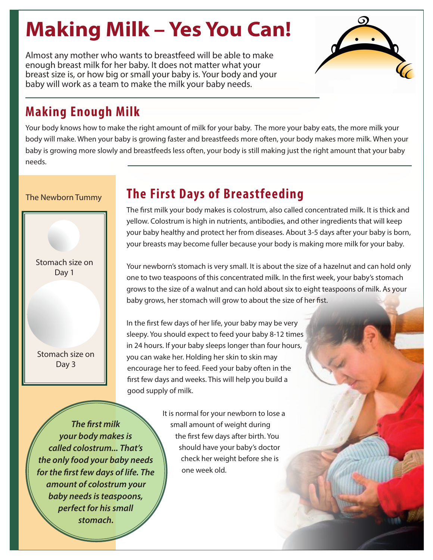# **Making Milk – Yes You Can!**

Almost any mother who wants to breastfeed will be able to make enough breast milk for her baby. It does not matter what your breast size is, or how big or small your baby is. Your body and your baby will work as a team to make the milk your baby needs.



## **Making Enough Milk**

Your body knows how to make the right amount of milk for your baby. The more your baby eats, the more milk your body will make. When your baby is growing faster and breastfeeds more often, your body makes more milk. When your baby is growing more slowly and breastfeeds less often, your body is still making just the right amount that your baby needs.

#### The Newborn Tummy

Stomach size on Day 1

Stomach size on Day 3

# **The First Days of Breastfeeding**

The first milk your body makes is colostrum, also called concentrated milk. It is thick and yellow. Colostrum is high in nutrients, antibodies, and other ingredients that will keep your baby healthy and protect her from diseases. About 3-5 days after your baby is born, your breasts may become fuller because your body is making more milk for your baby.

Your newborn's stomach is very small. It is about the size of a hazelnut and can hold only one to two teaspoons of this concentrated milk. In the first week, your baby's stomach grows to the size of a walnut and can hold about six to eight teaspoons of milk. As your baby grows, her stomach will grow to about the size of her fist.

In the first few days of her life, your baby may be very sleepy. You should expect to feed your baby 8-12 times in 24 hours. If your baby sleeps longer than four hours, you can wake her. Holding her skin to skin may encourage her to feed. Feed your baby often in the first few days and weeks. This will help you build a good supply of milk.

*The first milk your body makes is called colostrum... That's the only food your baby needs for the first few days of life. The amount of colostrum your baby needs is teaspoons, perfect for his small stomach.*

It is normal for your newborn to lose a small amount of weight during the first few days after birth. You should have your baby's doctor check her weight before she is one week old.